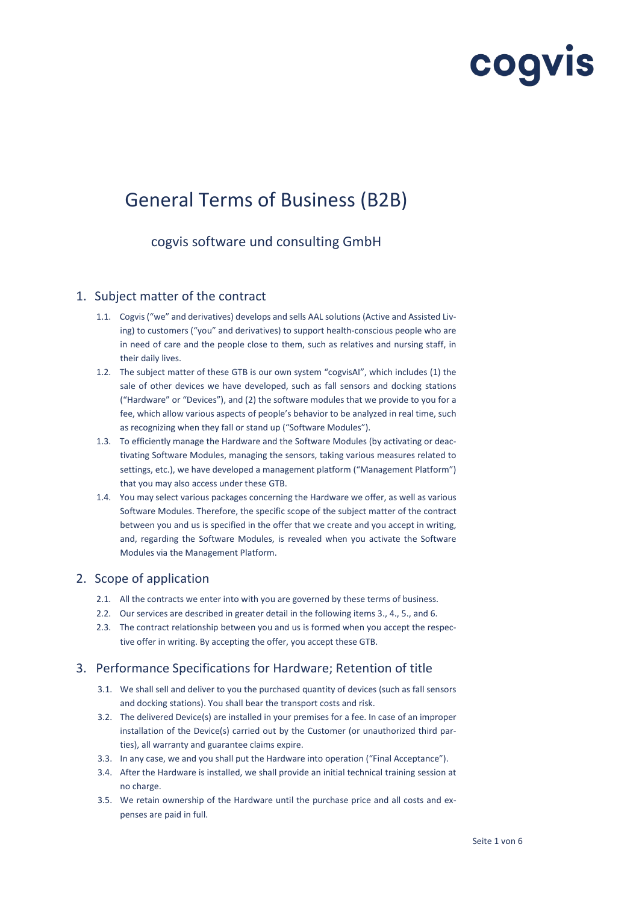# cogvis

# General Terms of Business (B2B)

cogvis software und consulting GmbH

# 1. Subject matter of the contract

- 1.1. Cogvis ("we" and derivatives) develops and sells AAL solutions (Active and Assisted Living) to customers ("you" and derivatives) to support health-conscious people who are in need of care and the people close to them, such as relatives and nursing staff, in their daily lives.
- 1.2. The subject matter of these GTB is our own system "cogvisAI", which includes (1) the sale of other devices we have developed, such as fall sensors and docking stations ("Hardware" or "Devices"), and (2) the software modules that we provide to you for a fee, which allow various aspects of people's behavior to be analyzed in real time, such as recognizing when they fall or stand up ("Software Modules").
- 1.3. To efficiently manage the Hardware and the Software Modules (by activating or deactivating Software Modules, managing the sensors, taking various measures related to settings, etc.), we have developed a management platform ("Management Platform") that you may also access under these GTB.
- 1.4. You may select various packages concerning the Hardware we offer, as well as various Software Modules. Therefore, the specific scope of the subject matter of the contract between you and us is specified in the offer that we create and you accept in writing, and, regarding the Software Modules, is revealed when you activate the Software Modules via the Management Platform.

# 2. Scope of application

- 2.1. All the contracts we enter into with you are governed by these terms of business.
- 2.2. Our services are described in greater detail in the following items 3., 4., 5., and 6.
- 2.3. The contract relationship between you and us is formed when you accept the respective offer in writing. By accepting the offer, you accept these GTB.

# 3. Performance Specifications for Hardware; Retention of title

- 3.1. We shall sell and deliver to you the purchased quantity of devices (such as fall sensors and docking stations). You shall bear the transport costs and risk.
- 3.2. The delivered Device(s) are installed in your premises for a fee. In case of an improper installation of the Device(s) carried out by the Customer (or unauthorized third parties), all warranty and guarantee claims expire.
- 3.3. In any case, we and you shall put the Hardware into operation ("Final Acceptance").
- 3.4. After the Hardware is installed, we shall provide an initial technical training session at no charge.
- 3.5. We retain ownership of the Hardware until the purchase price and all costs and expenses are paid in full.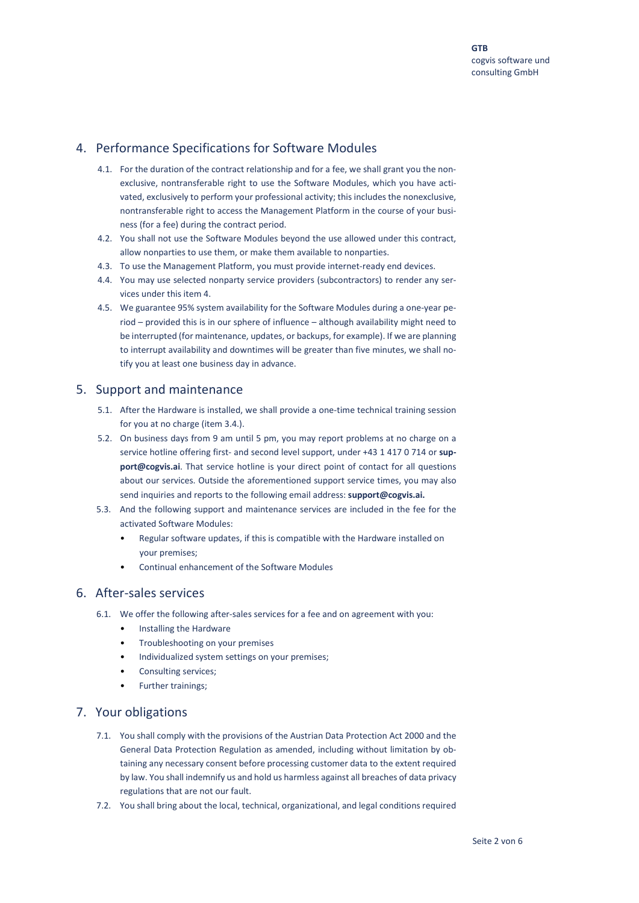# 4. Performance Specifications for Software Modules

- 4.1. For the duration of the contract relationship and for a fee, we shall grant you the nonexclusive, nontransferable right to use the Software Modules, which you have activated, exclusively to perform your professional activity; this includes the nonexclusive, nontransferable right to access the Management Platform in the course of your business (for a fee) during the contract period.
- 4.2. You shall not use the Software Modules beyond the use allowed under this contract, allow nonparties to use them, or make them available to nonparties.
- 4.3. To use the Management Platform, you must provide internet-ready end devices.
- 4.4. You may use selected nonparty service providers (subcontractors) to render any services under this item 4.
- 4.5. We guarantee 95% system availability for the Software Modules during a one-year period – provided this is in our sphere of influence – although availability might need to be interrupted (for maintenance, updates, or backups, for example). If we are planning to interrupt availability and downtimes will be greater than five minutes, we shall notify you at least one business day in advance.

#### 5. Support and maintenance

- 5.1. After the Hardware is installed, we shall provide a one-time technical training session for you at no charge (item 3.4.).
- 5.2. On business days from 9 am until 5 pm, you may report problems at no charge on a service hotline offering first- and second level support, under +43 1 417 0 714 or **support@cogvis.ai**. That service hotline is your direct point of contact for all questions about our services. Outside the aforementioned support service times, you may also send inquiries and reports to the following email address: **[support@cogvis.ai.](mailto:support@cogvis.at)**
- 5.3. And the following support and maintenance services are included in the fee for the activated Software Modules:
	- Regular software updates, if this is compatible with the Hardware installed on your premises;
	- Continual enhancement of the Software Modules

#### 6. After-sales services

- 6.1. We offer the following after-sales services for a fee and on agreement with you:
	- Installing the Hardware
	- Troubleshooting on your premises
	- Individualized system settings on your premises;
	- Consulting services;
	- Further trainings;

### 7. Your obligations

- 7.1. You shall comply with the provisions of the Austrian Data Protection Act 2000 and the General Data Protection Regulation as amended, including without limitation by obtaining any necessary consent before processing customer data to the extent required by law. You shall indemnify us and hold us harmless against all breaches of data privacy regulations that are not our fault.
- 7.2. You shall bring about the local, technical, organizational, and legal conditions required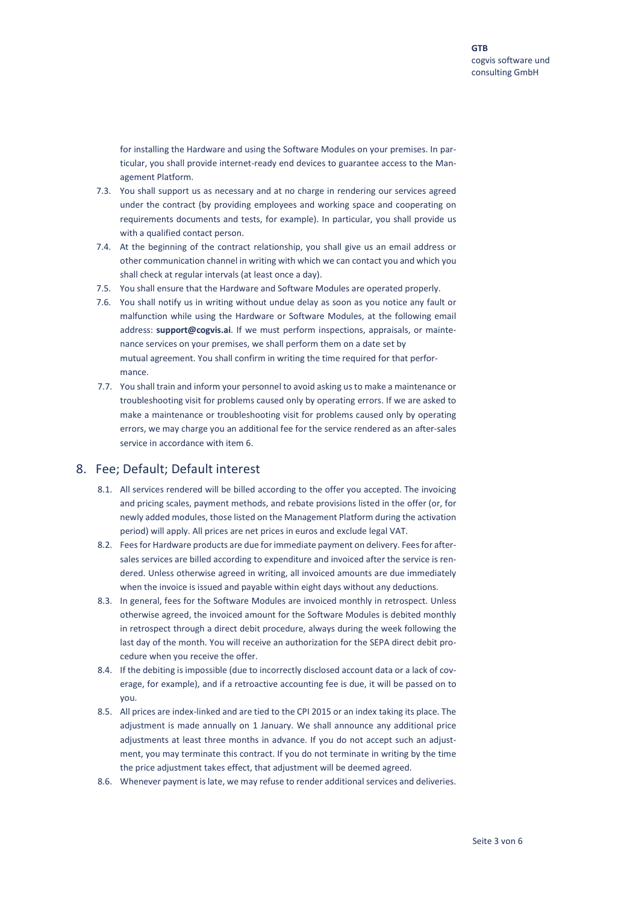for installing the Hardware and using the Software Modules on your premises. In particular, you shall provide internet-ready end devices to guarantee access to the Management Platform.

- 7.3. You shall support us as necessary and at no charge in rendering our services agreed under the contract (by providing employees and working space and cooperating on requirements documents and tests, for example). In particular, you shall provide us with a qualified contact person.
- 7.4. At the beginning of the contract relationship, you shall give us an email address or other communication channel in writing with which we can contact you and which you shall check at regular intervals (at least once a day).
- 7.5. You shall ensure that the Hardware and Software Modules are operated properly.
- 7.6. You shall notify us in writing without undue delay as soon as you notice any fault or malfunction while using the Hardware or Software Modules, at the following email address: **[support@cogvis.ai](mailto:support@cogvis.at)**. If we must perform inspections, appraisals, or maintenance services on your premises, we shall perform them on a date set by mutual agreement. You shall confirm in writing the time required for that performance.
- 7.7. You shall train and inform your personnel to avoid asking us to make a maintenance or troubleshooting visit for problems caused only by operating errors. If we are asked to make a maintenance or troubleshooting visit for problems caused only by operating errors, we may charge you an additional fee for the service rendered as an after-sales service in accordance with item 6.

#### 8. Fee; Default; Default interest

- 8.1. All services rendered will be billed according to the offer you accepted. The invoicing and pricing scales, payment methods, and rebate provisions listed in the offer (or, for newly added modules, those listed on the Management Platform during the activation period) will apply. All prices are net prices in euros and exclude legal VAT.
- 8.2. Fees for Hardware products are due for immediate payment on delivery. Fees for aftersales services are billed according to expenditure and invoiced after the service is rendered. Unless otherwise agreed in writing, all invoiced amounts are due immediately when the invoice is issued and payable within eight days without any deductions.
- 8.3. In general, fees for the Software Modules are invoiced monthly in retrospect. Unless otherwise agreed, the invoiced amount for the Software Modules is debited monthly in retrospect through a direct debit procedure, always during the week following the last day of the month. You will receive an authorization for the SEPA direct debit procedure when you receive the offer.
- 8.4. If the debiting is impossible (due to incorrectly disclosed account data or a lack of coverage, for example), and if a retroactive accounting fee is due, it will be passed on to you.
- 8.5. All prices are index-linked and are tied to the CPI 2015 or an index taking its place. The adjustment is made annually on 1 January. We shall announce any additional price adjustments at least three months in advance. If you do not accept such an adjustment, you may terminate this contract. If you do not terminate in writing by the time the price adjustment takes effect, that adjustment will be deemed agreed.
- 8.6. Whenever payment is late, we may refuse to render additional services and deliveries.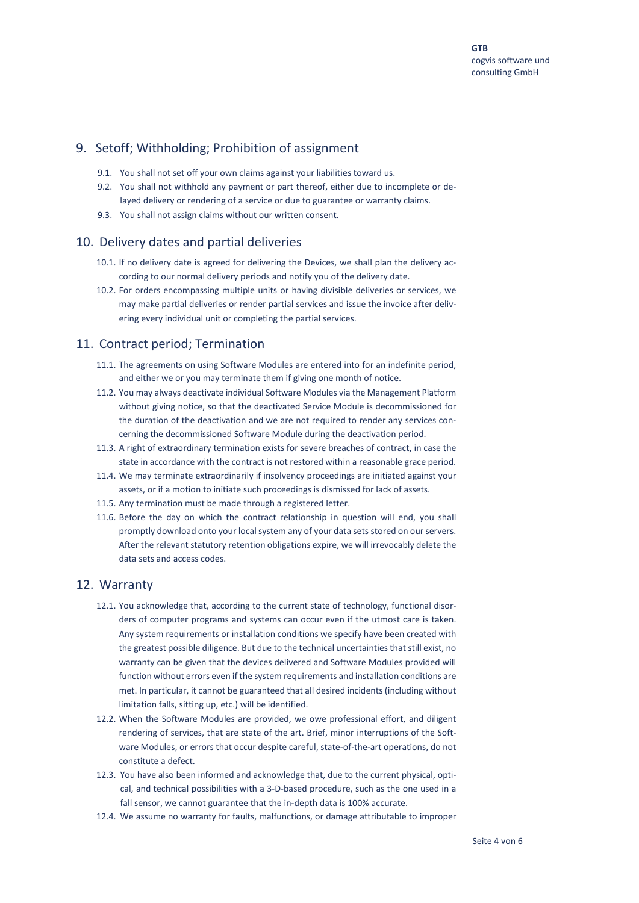# 9. Setoff; Withholding; Prohibition of assignment

- 9.1. You shall not set off your own claims against your liabilities toward us.
- 9.2. You shall not withhold any payment or part thereof, either due to incomplete or delayed delivery or rendering of a service or due to guarantee or warranty claims.
- 9.3. You shall not assign claims without our written consent.

#### 10. Delivery dates and partial deliveries

- 10.1. If no delivery date is agreed for delivering the Devices, we shall plan the delivery according to our normal delivery periods and notify you of the delivery date.
- 10.2. For orders encompassing multiple units or having divisible deliveries or services, we may make partial deliveries or render partial services and issue the invoice after delivering every individual unit or completing the partial services.

#### 11. Contract period; Termination

- 11.1. The agreements on using Software Modules are entered into for an indefinite period, and either we or you may terminate them if giving one month of notice.
- 11.2. You may always deactivate individual Software Modules via the Management Platform without giving notice, so that the deactivated Service Module is decommissioned for the duration of the deactivation and we are not required to render any services concerning the decommissioned Software Module during the deactivation period.
- 11.3. A right of extraordinary termination exists for severe breaches of contract, in case the state in accordance with the contract is not restored within a reasonable grace period.
- 11.4. We may terminate extraordinarily if insolvency proceedings are initiated against your assets, or if a motion to initiate such proceedings is dismissed for lack of assets.
- 11.5. Any termination must be made through a registered letter.
- 11.6. Before the day on which the contract relationship in question will end, you shall promptly download onto your local system any of your data sets stored on our servers. After the relevant statutory retention obligations expire, we will irrevocably delete the data sets and access codes.

# 12. Warranty

- 12.1. You acknowledge that, according to the current state of technology, functional disorders of computer programs and systems can occur even if the utmost care is taken. Any system requirements or installation conditions we specify have been created with the greatest possible diligence. But due to the technical uncertainties that still exist, no warranty can be given that the devices delivered and Software Modules provided will function without errors even if the system requirements and installation conditions are met. In particular, it cannot be guaranteed that all desired incidents (including without limitation falls, sitting up, etc.) will be identified.
- 12.2. When the Software Modules are provided, we owe professional effort, and diligent rendering of services, that are state of the art. Brief, minor interruptions of the Software Modules, or errors that occur despite careful, state-of-the-art operations, do not constitute a defect.
- 12.3. You have also been informed and acknowledge that, due to the current physical, optical, and technical possibilities with a 3-D-based procedure, such as the one used in a fall sensor, we cannot guarantee that the in-depth data is 100% accurate.
- 12.4. We assume no warranty for faults, malfunctions, or damage attributable to improper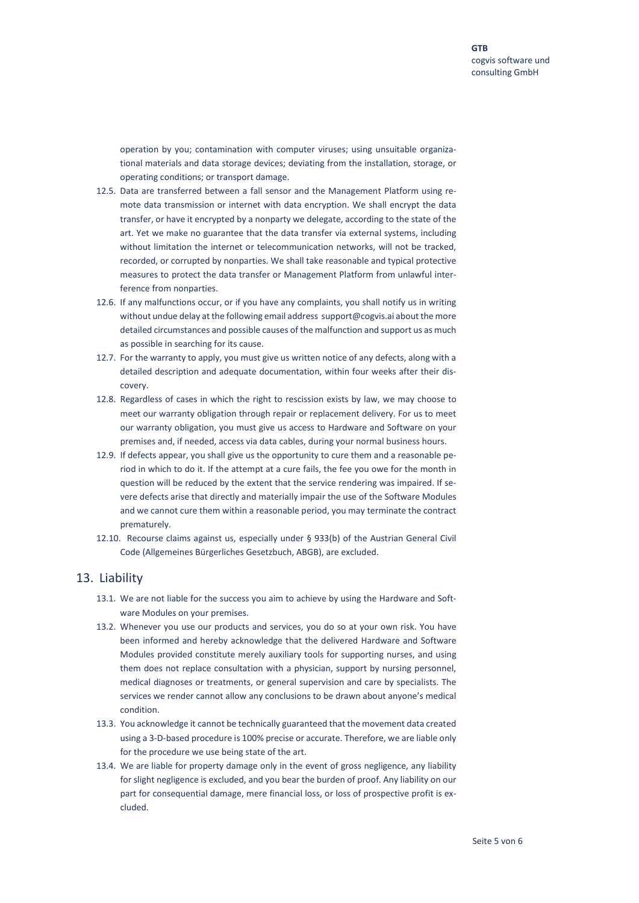operation by you; contamination with computer viruses; using unsuitable organizational materials and data storage devices; deviating from the installation, storage, or operating conditions; or transport damage.

- 12.5. Data are transferred between a fall sensor and the Management Platform using remote data transmission or internet with data encryption. We shall encrypt the data transfer, or have it encrypted by a nonparty we delegate, according to the state of the art. Yet we make no guarantee that the data transfer via external systems, including without limitation the internet or telecommunication networks, will not be tracked, recorded, or corrupted by nonparties. We shall take reasonable and typical protective measures to protect the data transfer or Management Platform from unlawful interference from nonparties.
- 12.6. If any malfunctions occur, or if you have any complaints, you shall notify us in writing without undue delay at the following email addres[s support@cogvis.ai a](mailto:support@cogvis.at)bout the more detailed circumstances and possible causes of the malfunction and support us as much as possible in searching for its cause.
- 12.7. For the warranty to apply, you must give us written notice of any defects, along with a detailed description and adequate documentation, within four weeks after their discovery.
- 12.8. Regardless of cases in which the right to rescission exists by law, we may choose to meet our warranty obligation through repair or replacement delivery. For us to meet our warranty obligation, you must give us access to Hardware and Software on your premises and, if needed, access via data cables, during your normal business hours.
- 12.9. If defects appear, you shall give us the opportunity to cure them and a reasonable period in which to do it. If the attempt at a cure fails, the fee you owe for the month in question will be reduced by the extent that the service rendering was impaired. If severe defects arise that directly and materially impair the use of the Software Modules and we cannot cure them within a reasonable period, you may terminate the contract prematurely.
- 12.10. Recourse claims against us, especially under § 933(b) of the Austrian General Civil Code (Allgemeines Bürgerliches Gesetzbuch, ABGB), are excluded.

#### 13. Liability

- 13.1. We are not liable for the success you aim to achieve by using the Hardware and Software Modules on your premises.
- 13.2. Whenever you use our products and services, you do so at your own risk. You have been informed and hereby acknowledge that the delivered Hardware and Software Modules provided constitute merely auxiliary tools for supporting nurses, and using them does not replace consultation with a physician, support by nursing personnel, medical diagnoses or treatments, or general supervision and care by specialists. The services we render cannot allow any conclusions to be drawn about anyone's medical condition.
- 13.3. You acknowledge it cannot be technically guaranteed that the movement data created using a 3-D-based procedure is 100% precise or accurate. Therefore, we are liable only for the procedure we use being state of the art.
- 13.4. We are liable for property damage only in the event of gross negligence, any liability for slight negligence is excluded, and you bear the burden of proof. Any liability on our part for consequential damage, mere financial loss, or loss of prospective profit is excluded.